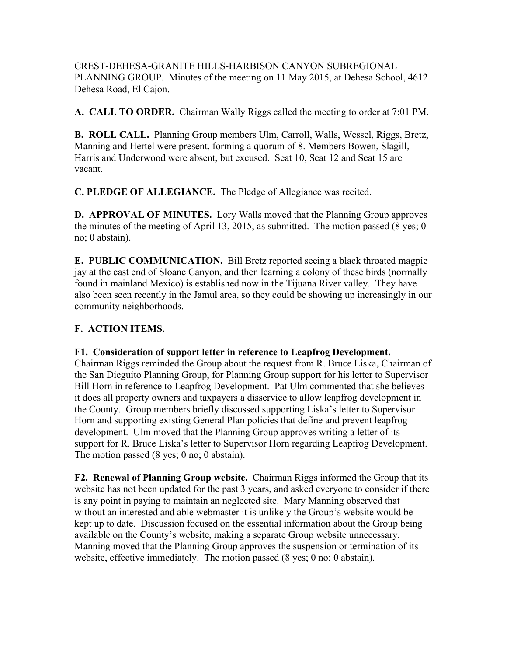CREST-DEHESA-GRANITE HILLS-HARBISON CANYON SUBREGIONAL PLANNING GROUP. Minutes of the meeting on 11 May 2015, at Dehesa School, 4612 Dehesa Road, El Cajon.

**A. CALL TO ORDER.** Chairman Wally Riggs called the meeting to order at 7:01 PM.

**B. ROLL CALL.** Planning Group members Ulm, Carroll, Walls, Wessel, Riggs, Bretz, Manning and Hertel were present, forming a quorum of 8. Members Bowen, Slagill, Harris and Underwood were absent, but excused. Seat 10, Seat 12 and Seat 15 are vacant.

**C. PLEDGE OF ALLEGIANCE.** The Pledge of Allegiance was recited.

**D. APPROVAL OF MINUTES.** Lory Walls moved that the Planning Group approves the minutes of the meeting of April 13, 2015, as submitted. The motion passed (8 yes; 0 no; 0 abstain).

**E. PUBLIC COMMUNICATION.** Bill Bretz reported seeing a black throated magpie jay at the east end of Sloane Canyon, and then learning a colony of these birds (normally found in mainland Mexico) is established now in the Tijuana River valley. They have also been seen recently in the Jamul area, so they could be showing up increasingly in our community neighborhoods.

## **F. ACTION ITEMS.**

## **F1. Consideration of support letter in reference to Leapfrog Development.**

Chairman Riggs reminded the Group about the request from R. Bruce Liska, Chairman of the San Dieguito Planning Group, for Planning Group support for his letter to Supervisor Bill Horn in reference to Leapfrog Development. Pat Ulm commented that she believes it does all property owners and taxpayers a disservice to allow leapfrog development in the County. Group members briefly discussed supporting Liska's letter to Supervisor Horn and supporting existing General Plan policies that define and prevent leapfrog development. Ulm moved that the Planning Group approves writing a letter of its support for R. Bruce Liska's letter to Supervisor Horn regarding Leapfrog Development. The motion passed (8 yes; 0 no; 0 abstain).

**F2. Renewal of Planning Group website.** Chairman Riggs informed the Group that its website has not been updated for the past 3 years, and asked everyone to consider if there is any point in paying to maintain an neglected site. Mary Manning observed that without an interested and able webmaster it is unlikely the Group's website would be kept up to date. Discussion focused on the essential information about the Group being available on the County's website, making a separate Group website unnecessary. Manning moved that the Planning Group approves the suspension or termination of its website, effective immediately. The motion passed (8 yes; 0 no; 0 abstain).